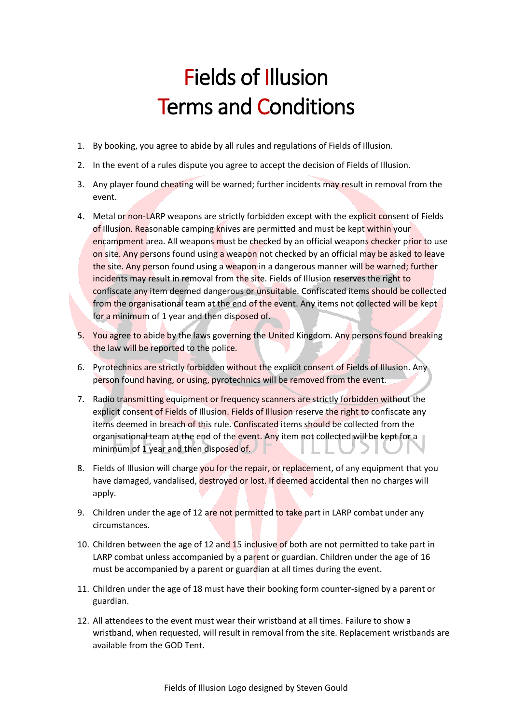## Fields of Illusion Terms and Conditions

- 1. By booking, you agree to abide by all rules and regulations of Fields of Illusion.
- 2. In the event of a rules dispute you agree to accept the decision of Fields of Illusion.
- 3. Any player found cheating will be warned; further incidents may result in removal from the event.
- 4. Metal or non-LARP weapons are strictly forbidden except with the explicit consent of Fields of Illusion. Reasonable camping knives are permitted and must be kept within your encampment area. All weapons must be checked by an official weapons checker prior to use on site. Any persons found using a weapon not checked by an official may be asked to leave the site. Any person found using a weapon in a dangerous manner will be warned; further incidents may result in removal from the site. Fields of Illusion reserves the right to confiscate any item deemed dangerous or unsuitable. Confiscated items should be collected from the organisational team at the end of the event. Any items not collected will be kept for a minimum of 1 year and then disposed of.
- 5. You agree to abide by the laws governing the United Kingdom. Any persons found breaking the law will be reported to the police.
- 6. Pyrotechnics are strictly forbidden without the explicit consent of Fields of Illusion. Any person found having, or using, pyrotechnics will be removed from the event.
- 7. Radio transmitting equipment or frequency scanners are strictly forbidden without the explicit consent of Fields of Illusion. Fields of Illusion reserve the right to confiscate any items deemed in breach of this rule. Confiscated items should be collected from the organisational team at the end of the event. Any item not collected will be kept for a minimum of 1 year and then disposed of.
- 8. Fields of Illusion will charge you for the repair, or replacement, of any equipment that you have damaged, vandalised, destroyed or lost. If deemed accidental then no charges will apply.
- 9. Children under the age of 12 are not permitted to take part in LARP combat under any circumstances.
- 10. Children between the age of 12 and 15 inclusive of both are not permitted to take part in LARP combat unless accompanied by a parent or guardian. Children under the age of 16 must be accompanied by a parent or guardian at all times during the event.
- 11. Children under the age of 18 must have their booking form counter-signed by a parent or guardian.
- 12. All attendees to the event must wear their wristband at all times. Failure to show a wristband, when requested, will result in removal from the site. Replacement wristbands are available from the GOD Tent.